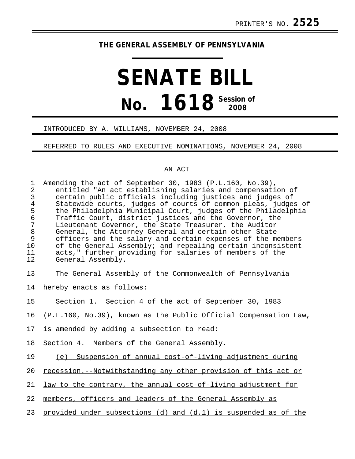# **THE GENERAL ASSEMBLY OF PENNSYLVANIA**

# **SENATE BILL No. 1618 Session of 2008**

#### INTRODUCED BY A. WILLIAMS, NOVEMBER 24, 2008

## REFERRED TO RULES AND EXECUTIVE NOMINATIONS, NOVEMBER 24, 2008

## AN ACT

| $\mathbf{1}$<br>$\overline{a}$<br>$\mathfrak{Z}$<br>$\begin{array}{c} 4 \\ 5 \\ 6 \end{array}$<br>$\sqrt{ }$<br>$\,8\,$<br>$\mathsf 9$<br>10<br>11<br>12 | Amending the act of September 30, 1983 (P.L.160, No.39),<br>entitled "An act establishing salaries and compensation of<br>certain public officials including justices and judges of<br>Statewide courts, judges of courts of common pleas, judges of<br>the Philadelphia Municipal Court, judges of the Philadelphia<br>Traffic Court, district justices and the Governor, the<br>Lieutenant Governor, the State Treasurer, the Auditor<br>General, the Attorney General and certain other State<br>officers and the salary and certain expenses of the members<br>of the General Assembly; and repealing certain inconsistent<br>acts," further providing for salaries of members of the<br>General Assembly. |
|----------------------------------------------------------------------------------------------------------------------------------------------------------|----------------------------------------------------------------------------------------------------------------------------------------------------------------------------------------------------------------------------------------------------------------------------------------------------------------------------------------------------------------------------------------------------------------------------------------------------------------------------------------------------------------------------------------------------------------------------------------------------------------------------------------------------------------------------------------------------------------|
| 13                                                                                                                                                       | The General Assembly of the Commonwealth of Pennsylvania                                                                                                                                                                                                                                                                                                                                                                                                                                                                                                                                                                                                                                                       |
| 14                                                                                                                                                       | hereby enacts as follows:                                                                                                                                                                                                                                                                                                                                                                                                                                                                                                                                                                                                                                                                                      |
| 15                                                                                                                                                       | Section 1. Section 4 of the act of September 30, 1983                                                                                                                                                                                                                                                                                                                                                                                                                                                                                                                                                                                                                                                          |
| 16                                                                                                                                                       | (P.L.160, No.39), known as the Public Official Compensation Law,                                                                                                                                                                                                                                                                                                                                                                                                                                                                                                                                                                                                                                               |
| 17                                                                                                                                                       | is amended by adding a subsection to read:                                                                                                                                                                                                                                                                                                                                                                                                                                                                                                                                                                                                                                                                     |
| 18                                                                                                                                                       | Section 4. Members of the General Assembly.                                                                                                                                                                                                                                                                                                                                                                                                                                                                                                                                                                                                                                                                    |
| 19                                                                                                                                                       | (e) Suspension of annual cost-of-living adjustment during                                                                                                                                                                                                                                                                                                                                                                                                                                                                                                                                                                                                                                                      |
| 20                                                                                                                                                       | recession.--Notwithstanding any other provision of this act or                                                                                                                                                                                                                                                                                                                                                                                                                                                                                                                                                                                                                                                 |
| 21                                                                                                                                                       | law to the contrary, the annual cost-of-living adjustment for                                                                                                                                                                                                                                                                                                                                                                                                                                                                                                                                                                                                                                                  |
| 22                                                                                                                                                       | members, officers and leaders of the General Assembly as                                                                                                                                                                                                                                                                                                                                                                                                                                                                                                                                                                                                                                                       |
| 23                                                                                                                                                       | provided under subsections (d) and $(d.1)$ is suspended as of the                                                                                                                                                                                                                                                                                                                                                                                                                                                                                                                                                                                                                                              |